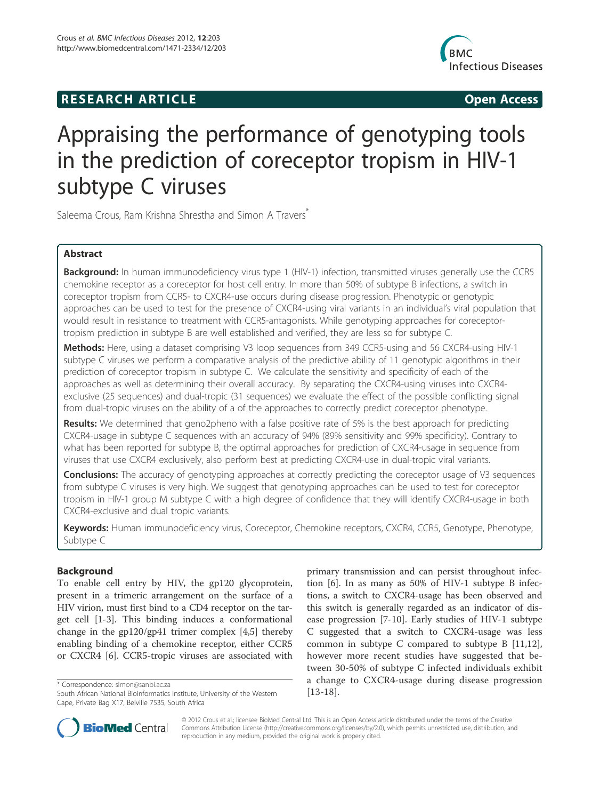## **RESEARCH ARTICLE Example 2018 12:00 Open Access**



# Appraising the performance of genotyping tools in the prediction of coreceptor tropism in HIV-1 subtype C viruses

Saleema Crous, Ram Krishna Shrestha and Simon A Travers<sup>\*</sup>

## Abstract

Background: In human immunodeficiency virus type 1 (HIV-1) infection, transmitted viruses generally use the CCR5 chemokine receptor as a coreceptor for host cell entry. In more than 50% of subtype B infections, a switch in coreceptor tropism from CCR5- to CXCR4-use occurs during disease progression. Phenotypic or genotypic approaches can be used to test for the presence of CXCR4-using viral variants in an individual's viral population that would result in resistance to treatment with CCR5-antagonists. While genotyping approaches for coreceptortropism prediction in subtype B are well established and verified, they are less so for subtype C.

Methods: Here, using a dataset comprising V3 loop sequences from 349 CCR5-using and 56 CXCR4-using HIV-1 subtype C viruses we perform a comparative analysis of the predictive ability of 11 genotypic algorithms in their prediction of coreceptor tropism in subtype C. We calculate the sensitivity and specificity of each of the approaches as well as determining their overall accuracy. By separating the CXCR4-using viruses into CXCR4 exclusive (25 sequences) and dual-tropic (31 sequences) we evaluate the effect of the possible conflicting signal from dual-tropic viruses on the ability of a of the approaches to correctly predict coreceptor phenotype.

**Results:** We determined that geno2pheno with a false positive rate of 5% is the best approach for predicting CXCR4-usage in subtype C sequences with an accuracy of 94% (89% sensitivity and 99% specificity). Contrary to what has been reported for subtype B, the optimal approaches for prediction of CXCR4-usage in sequence from viruses that use CXCR4 exclusively, also perform best at predicting CXCR4-use in dual-tropic viral variants.

**Conclusions:** The accuracy of genotyping approaches at correctly predicting the coreceptor usage of V3 sequences from subtype C viruses is very high. We suggest that genotyping approaches can be used to test for coreceptor tropism in HIV-1 group M subtype C with a high degree of confidence that they will identify CXCR4-usage in both CXCR4-exclusive and dual tropic variants.

Keywords: Human immunodeficiency virus, Coreceptor, Chemokine receptors, CXCR4, CCR5, Genotype, Phenotype, Subtype C

## Background

To enable cell entry by HIV, the gp120 glycoprotein, present in a trimeric arrangement on the surface of a HIV virion, must first bind to a CD4 receptor on the target cell [1-3]. This binding induces a conformational change in the gp120/gp41 trimer complex [4,5] thereby enabling binding of a chemokine receptor, either CCR5 or CXCR4 [6]. CCR5-tropic viruses are associated with

primary transmission and can persist throughout infection [6]. In as many as 50% of HIV-1 subtype B infections, a switch to CXCR4-usage has been observed and this switch is generally regarded as an indicator of disease progression [7-10]. Early studies of HIV-1 subtype C suggested that a switch to CXCR4-usage was less common in subtype C compared to subtype B [11,12], however more recent studies have suggested that between 30-50% of subtype C infected individuals exhibit a change to CXCR4-usage during disease progression



© 2012 Crous et al.; licensee BioMed Central Ltd. This is an Open Access article distributed under the terms of the Creative Commons Attribution License (http://creativecommons.org/licenses/by/2.0), which permits unrestricted use, distribution, and reproduction in any medium, provided the original work is properly cited.

<sup>[13-18].</sup> \* Correspondence: simon@sanbi.ac.za South African National Bioinformatics Institute, University of the Western Cape, Private Bag X17, Belville 7535, South Africa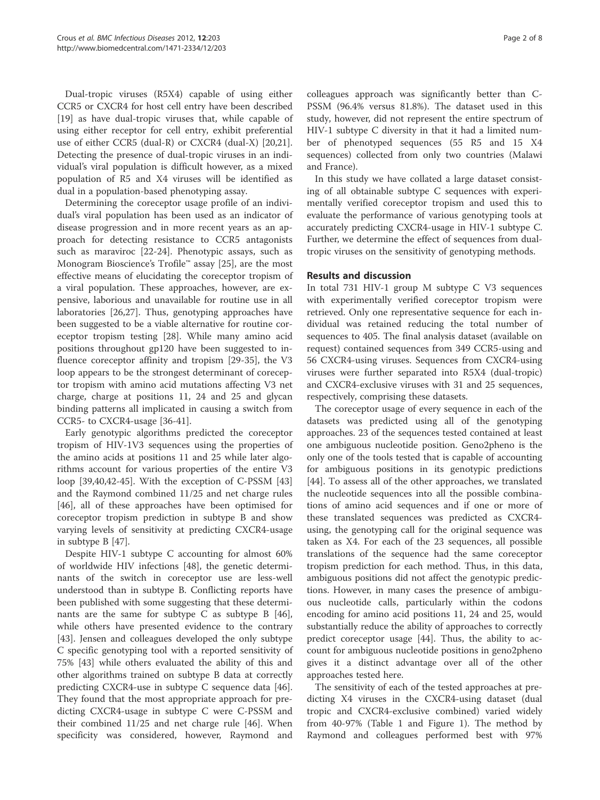Dual-tropic viruses (R5X4) capable of using either CCR5 or CXCR4 for host cell entry have been described [19] as have dual-tropic viruses that, while capable of using either receptor for cell entry, exhibit preferential use of either CCR5 (dual-R) or CXCR4 (dual-X) [20,21]. Detecting the presence of dual-tropic viruses in an individual's viral population is difficult however, as a mixed population of R5 and X4 viruses will be identified as dual in a population-based phenotyping assay.

Determining the coreceptor usage profile of an individual's viral population has been used as an indicator of disease progression and in more recent years as an approach for detecting resistance to CCR5 antagonists such as maraviroc [22-24]. Phenotypic assays, such as Monogram Bioscience's Trofile™ assay [25], are the most effective means of elucidating the coreceptor tropism of a viral population. These approaches, however, are expensive, laborious and unavailable for routine use in all laboratories [26,27]. Thus, genotyping approaches have been suggested to be a viable alternative for routine coreceptor tropism testing [28]. While many amino acid positions throughout gp120 have been suggested to influence coreceptor affinity and tropism [29-35], the V3 loop appears to be the strongest determinant of coreceptor tropism with amino acid mutations affecting V3 net charge, charge at positions 11, 24 and 25 and glycan binding patterns all implicated in causing a switch from CCR5- to CXCR4-usage [36-41].

Early genotypic algorithms predicted the coreceptor tropism of HIV-1V3 sequences using the properties of the amino acids at positions 11 and 25 while later algorithms account for various properties of the entire V3 loop [39,40,42-45]. With the exception of C-PSSM [43] and the Raymond combined 11/25 and net charge rules [46], all of these approaches have been optimised for coreceptor tropism prediction in subtype B and show varying levels of sensitivity at predicting CXCR4-usage in subtype B [47].

Despite HIV-1 subtype C accounting for almost 60% of worldwide HIV infections [48], the genetic determinants of the switch in coreceptor use are less-well understood than in subtype B. Conflicting reports have been published with some suggesting that these determinants are the same for subtype C as subtype B [46], while others have presented evidence to the contrary [43]. Jensen and colleagues developed the only subtype C specific genotyping tool with a reported sensitivity of 75% [43] while others evaluated the ability of this and other algorithms trained on subtype B data at correctly predicting CXCR4-use in subtype C sequence data [46]. They found that the most appropriate approach for predicting CXCR4-usage in subtype C were C-PSSM and their combined 11/25 and net charge rule [46]. When specificity was considered, however, Raymond and colleagues approach was significantly better than C-PSSM (96.4% versus 81.8%). The dataset used in this study, however, did not represent the entire spectrum of HIV-1 subtype C diversity in that it had a limited number of phenotyped sequences (55 R5 and 15 X4 sequences) collected from only two countries (Malawi and France).

In this study we have collated a large dataset consisting of all obtainable subtype C sequences with experimentally verified coreceptor tropism and used this to evaluate the performance of various genotyping tools at accurately predicting CXCR4-usage in HIV-1 subtype C. Further, we determine the effect of sequences from dualtropic viruses on the sensitivity of genotyping methods.

#### Results and discussion

In total 731 HIV-1 group M subtype C V3 sequences with experimentally verified coreceptor tropism were retrieved. Only one representative sequence for each individual was retained reducing the total number of sequences to 405. The final analysis dataset (available on request) contained sequences from 349 CCR5-using and 56 CXCR4-using viruses. Sequences from CXCR4-using viruses were further separated into R5X4 (dual-tropic) and CXCR4-exclusive viruses with 31 and 25 sequences, respectively, comprising these datasets.

The coreceptor usage of every sequence in each of the datasets was predicted using all of the genotyping approaches. 23 of the sequences tested contained at least one ambiguous nucleotide position. Geno2pheno is the only one of the tools tested that is capable of accounting for ambiguous positions in its genotypic predictions [44]. To assess all of the other approaches, we translated the nucleotide sequences into all the possible combinations of amino acid sequences and if one or more of these translated sequences was predicted as CXCR4 using, the genotyping call for the original sequence was taken as X4. For each of the 23 sequences, all possible translations of the sequence had the same coreceptor tropism prediction for each method. Thus, in this data, ambiguous positions did not affect the genotypic predictions. However, in many cases the presence of ambiguous nucleotide calls, particularly within the codons encoding for amino acid positions 11, 24 and 25, would substantially reduce the ability of approaches to correctly predict coreceptor usage [44]. Thus, the ability to account for ambiguous nucleotide positions in geno2pheno gives it a distinct advantage over all of the other approaches tested here.

The sensitivity of each of the tested approaches at predicting X4 viruses in the CXCR4-using dataset (dual tropic and CXCR4-exclusive combined) varied widely from 40-97% (Table 1 and Figure 1). The method by Raymond and colleagues performed best with 97%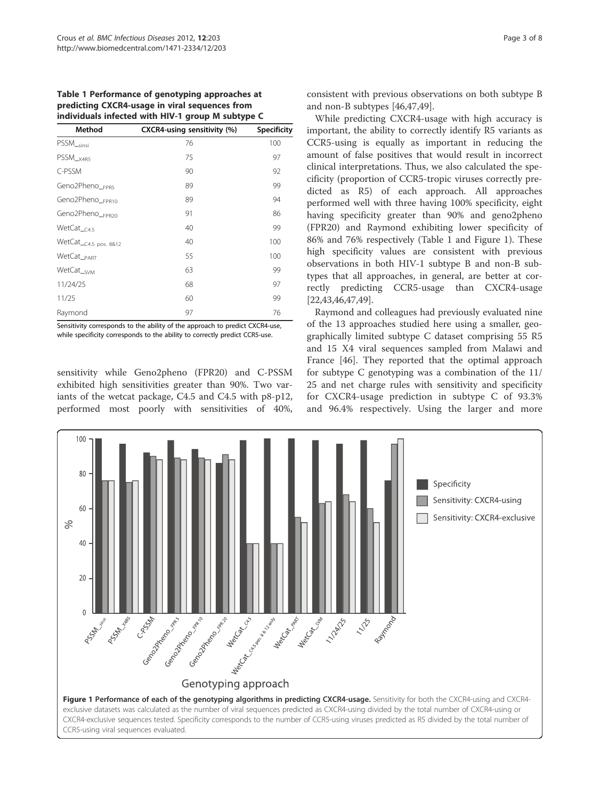| Table 1 Performance of genotyping approaches at   |
|---------------------------------------------------|
| predicting CXCR4-usage in viral sequences from    |
| individuals infected with HIV-1 group M subtype C |

| Method                  | CXCR4-using sensitivity (%) | Specificity |  |
|-------------------------|-----------------------------|-------------|--|
| PSSM_sinsi              | 76                          | 100         |  |
| PSSM_x4R5               | 75                          | 97          |  |
| C-PSSM                  | 90                          | 92          |  |
| Geno2Pheno_FPR5         | 89                          | 99          |  |
| Geno2Pheno_FPR10        | 89                          | 94          |  |
| Geno2Pheno_FPR20        | 91                          | 86          |  |
| WetCat <sub>_c4.5</sub> | 40                          | 99          |  |
| WetCat_c4.5 pos. 8&12   | 40                          | 100         |  |
| WetCat_PART             | 55                          | 100         |  |
| WetCat_svM              | 63                          | 99          |  |
| 11/24/25                | 68                          | 97          |  |
| 11/25                   | 60                          | 99          |  |
| Raymond                 | 97                          | 76          |  |

Sensitivity corresponds to the ability of the approach to predict CXCR4-use, while specificity corresponds to the ability to correctly predict CCR5-use.

sensitivity while Geno2pheno (FPR20) and C-PSSM exhibited high sensitivities greater than 90%. Two variants of the wetcat package, C4.5 and C4.5 with p8-p12, performed most poorly with sensitivities of 40%,

While predicting CXCR4-usage with high accuracy is important, the ability to correctly identify R5 variants as CCR5-using is equally as important in reducing the amount of false positives that would result in incorrect clinical interpretations. Thus, we also calculated the specificity (proportion of CCR5-tropic viruses correctly predicted as R5) of each approach. All approaches performed well with three having 100% specificity, eight having specificity greater than 90% and geno2pheno (FPR20) and Raymond exhibiting lower specificity of 86% and 76% respectively (Table 1 and Figure 1). These high specificity values are consistent with previous observations in both HIV-1 subtype B and non-B subtypes that all approaches, in general, are better at correctly predicting CCR5-usage than CXCR4-usage [22,43,46,47,49].

Raymond and colleagues had previously evaluated nine of the 13 approaches studied here using a smaller, geographically limited subtype C dataset comprising 55 R5 and 15 X4 viral sequences sampled from Malawi and France [46]. They reported that the optimal approach for subtype C genotyping was a combination of the 11/ 25 and net charge rules with sensitivity and specificity for CXCR4-usage prediction in subtype C of 93.3% and 96.4% respectively. Using the larger and more

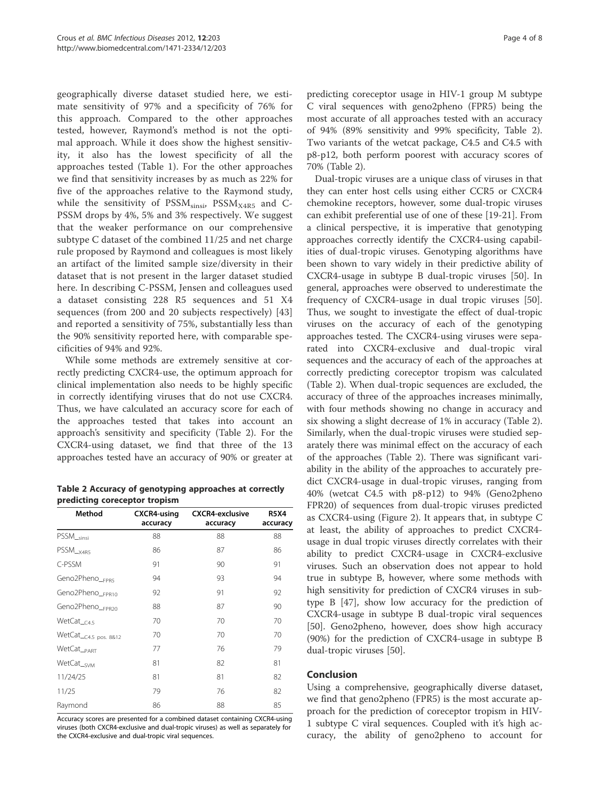geographically diverse dataset studied here, we estimate sensitivity of 97% and a specificity of 76% for this approach. Compared to the other approaches tested, however, Raymond's method is not the optimal approach. While it does show the highest sensitivity, it also has the lowest specificity of all the approaches tested (Table 1). For the other approaches we find that sensitivity increases by as much as 22% for five of the approaches relative to the Raymond study, while the sensitivity of  $\text{PSSM}_{\text{sinsi}}$ ,  $\text{PSSM}_{\text{X4R5}}$  and C-PSSM drops by 4%, 5% and 3% respectively. We suggest that the weaker performance on our comprehensive subtype C dataset of the combined 11/25 and net charge rule proposed by Raymond and colleagues is most likely an artifact of the limited sample size/diversity in their dataset that is not present in the larger dataset studied here. In describing C-PSSM, Jensen and colleagues used a dataset consisting 228 R5 sequences and 51 X4 sequences (from 200 and 20 subjects respectively) [43] and reported a sensitivity of 75%, substantially less than the 90% sensitivity reported here, with comparable specificities of 94% and 92%.

While some methods are extremely sensitive at correctly predicting CXCR4-use, the optimum approach for clinical implementation also needs to be highly specific in correctly identifying viruses that do not use CXCR4. Thus, we have calculated an accuracy score for each of the approaches tested that takes into account an approach's sensitivity and specificity (Table 2). For the CXCR4-using dataset, we find that three of the 13 approaches tested have an accuracy of 90% or greater at

Table 2 Accuracy of genotyping approaches at correctly predicting coreceptor tropism

| Method                  | <b>CXCR4-using</b><br>accuracy | <b>CXCR4-exclusive</b><br>accuracy | <b>R5X4</b><br>accuracy |
|-------------------------|--------------------------------|------------------------------------|-------------------------|
| PSSM_sinsi              | 88                             | 88                                 | 88                      |
| PSSM_x4R5               | 86                             | 87                                 | 86                      |
| C-PSSM                  | 91                             | 90                                 | 91                      |
| Geno2Pheno_FPR5         | 94                             | 93                                 | 94                      |
| Geno2Pheno_FPR10        | 92                             | 91                                 | 92                      |
| Geno2Pheno_FPR20        | 88                             | 87                                 | 90                      |
| WetCat <sub>_c4.5</sub> | 70                             | 70                                 | 70                      |
| WetCat_c4.5 pos. 8&12   | 70                             | 70                                 | 70                      |
| WetCat_PART             | 77                             | 76                                 | 79                      |
| WetCat_sv <sub>M</sub>  | 81                             | 82                                 | 81                      |
| 11/24/25                | 81                             | 81                                 | 82                      |
| 11/25                   | 79                             | 76                                 | 82                      |
| Raymond                 | 86                             | 88                                 | 85                      |

Accuracy scores are presented for a combined dataset containing CXCR4-using viruses (both CXCR4-exclusive and dual-tropic viruses) as well as separately for the CXCR4-exclusive and dual-tropic viral sequences.

predicting coreceptor usage in HIV-1 group M subtype C viral sequences with geno2pheno (FPR5) being the most accurate of all approaches tested with an accuracy of 94% (89% sensitivity and 99% specificity, Table 2). Two variants of the wetcat package, C4.5 and C4.5 with p8-p12, both perform poorest with accuracy scores of 70% (Table 2).

Dual-tropic viruses are a unique class of viruses in that they can enter host cells using either CCR5 or CXCR4 chemokine receptors, however, some dual-tropic viruses can exhibit preferential use of one of these [19-21]. From a clinical perspective, it is imperative that genotyping approaches correctly identify the CXCR4-using capabilities of dual-tropic viruses. Genotyping algorithms have been shown to vary widely in their predictive ability of CXCR4-usage in subtype B dual-tropic viruses [50]. In general, approaches were observed to underestimate the frequency of CXCR4-usage in dual tropic viruses [50]. Thus, we sought to investigate the effect of dual-tropic viruses on the accuracy of each of the genotyping approaches tested. The CXCR4-using viruses were separated into CXCR4-exclusive and dual-tropic viral sequences and the accuracy of each of the approaches at correctly predicting coreceptor tropism was calculated (Table 2). When dual-tropic sequences are excluded, the accuracy of three of the approaches increases minimally, with four methods showing no change in accuracy and six showing a slight decrease of 1% in accuracy (Table 2). Similarly, when the dual-tropic viruses were studied separately there was minimal effect on the accuracy of each of the approaches (Table 2). There was significant variability in the ability of the approaches to accurately predict CXCR4-usage in dual-tropic viruses, ranging from 40% (wetcat C4.5 with p8-p12) to 94% (Geno2pheno FPR20) of sequences from dual-tropic viruses predicted as CXCR4-using (Figure 2). It appears that, in subtype C at least, the ability of approaches to predict CXCR4 usage in dual tropic viruses directly correlates with their ability to predict CXCR4-usage in CXCR4-exclusive viruses. Such an observation does not appear to hold true in subtype B, however, where some methods with high sensitivity for prediction of CXCR4 viruses in subtype B [47], show low accuracy for the prediction of CXCR4-usage in subtype B dual-tropic viral sequences [50]. Geno2pheno, however, does show high accuracy (90%) for the prediction of CXCR4-usage in subtype B dual-tropic viruses [50].

## Conclusion

Using a comprehensive, geographically diverse dataset, we find that geno2pheno (FPR5) is the most accurate approach for the prediction of coreceptor tropism in HIV-1 subtype C viral sequences. Coupled with it's high accuracy, the ability of geno2pheno to account for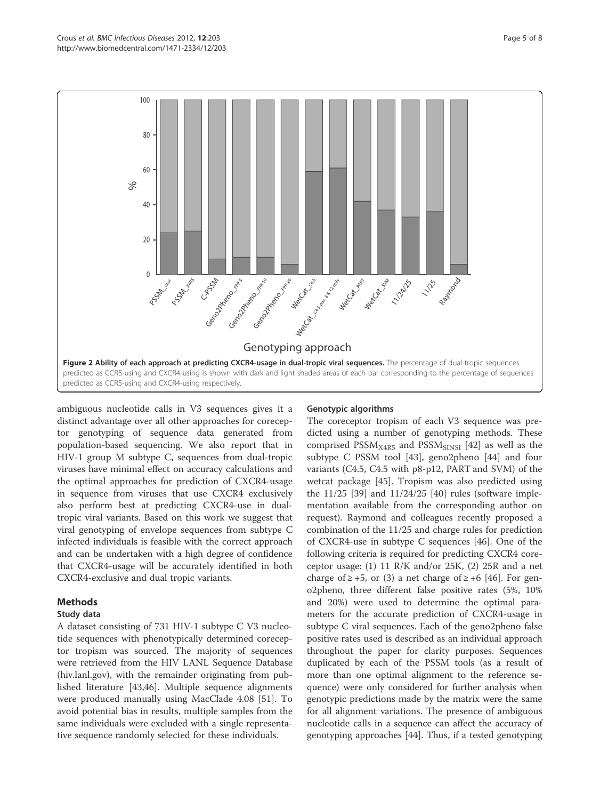

ambiguous nucleotide calls in V3 sequences gives it a distinct advantage over all other approaches for coreceptor genotyping of sequence data generated from population-based sequencing. We also report that in HIV-1 group M subtype C, sequences from dual-tropic viruses have minimal effect on accuracy calculations and the optimal approaches for prediction of CXCR4-usage in sequence from viruses that use CXCR4 exclusively also perform best at predicting CXCR4-use in dualtropic viral variants. Based on this work we suggest that viral genotyping of envelope sequences from subtype C infected individuals is feasible with the correct approach and can be undertaken with a high degree of confidence that CXCR4-usage will be accurately identified in both CXCR4-exclusive and dual tropic variants.

## Methods

## Study data

A dataset consisting of 731 HIV-1 subtype C V3 nucleotide sequences with phenotypically determined coreceptor tropism was sourced. The majority of sequences were retrieved from the HIV LANL Sequence Database (hiv.lanl.gov), with the remainder originating from published literature [43,46]. Multiple sequence alignments were produced manually using MacClade 4.08 [51]. To avoid potential bias in results, multiple samples from the same individuals were excluded with a single representative sequence randomly selected for these individuals.

## Genotypic algorithms

The coreceptor tropism of each V3 sequence was predicted using a number of genotyping methods. These comprised  $\text{PSSM}_{\text{X4R5}}$  and  $\text{PSSM}_{\text{SINSI}}$  [42] as well as the subtype C PSSM tool [43], geno2pheno [44] and four variants (C4.5, C4.5 with p8-p12, PART and SVM) of the wetcat package [45]. Tropism was also predicted using the 11/25 [39] and 11/24/25 [40] rules (software implementation available from the corresponding author on request). Raymond and colleagues recently proposed a combination of the 11/25 and charge rules for prediction of CXCR4-use in subtype C sequences [46]. One of the following criteria is required for predicting CXCR4 coreceptor usage: (1) 11 R/K and/or 25K, (2) 25R and a net charge of ≥ +5, or (3) a net charge of ≥ +6 [46]. For geno2pheno, three different false positive rates (5%, 10% and 20%) were used to determine the optimal parameters for the accurate prediction of CXCR4-usage in subtype C viral sequences. Each of the geno2pheno false positive rates used is described as an individual approach throughout the paper for clarity purposes. Sequences duplicated by each of the PSSM tools (as a result of more than one optimal alignment to the reference sequence) were only considered for further analysis when genotypic predictions made by the matrix were the same for all alignment variations. The presence of ambiguous nucleotide calls in a sequence can affect the accuracy of genotyping approaches [44]. Thus, if a tested genotyping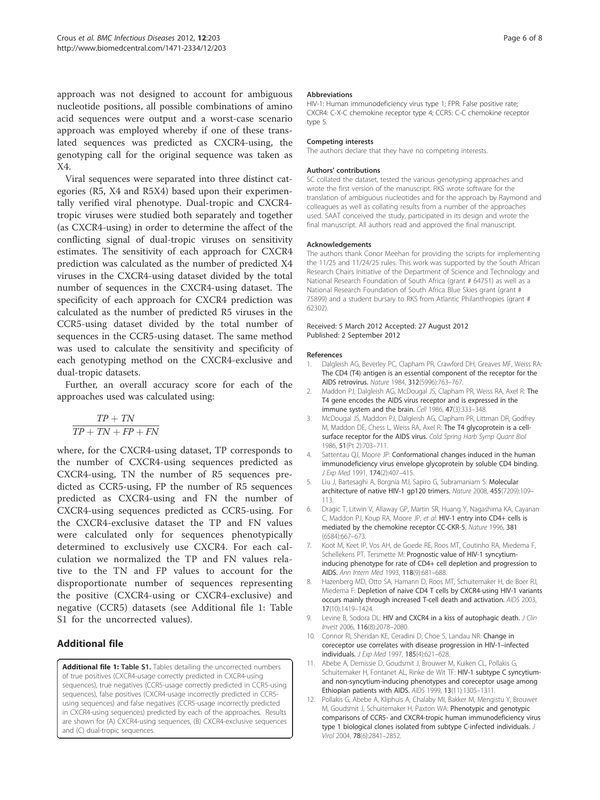approach was not designed to account for ambiguous nucleotide positions, all possible combinations of amino acid sequences were output and a worst-case scenario approach was employed whereby if one of these translated sequences was predicted as CXCR4-using, the genotyping call for the original sequence was taken as X4.

Viral sequences were separated into three distinct categories (R5, X4 and R5X4) based upon their experimentally verified viral phenotype. Dual-tropic and CXCR4 tropic viruses were studied both separately and together (as CXCR4-using) in order to determine the affect of the conflicting signal of dual-tropic viruses on sensitivity estimates. The sensitivity of each approach for CXCR4 prediction was calculated as the number of predicted X4 viruses in the CXCR4-using dataset divided by the total number of sequences in the CXCR4-using dataset. The specificity of each approach for CXCR4 prediction was calculated as the number of predicted R5 viruses in the CCR5-using dataset divided by the total number of sequences in the CCR5-using dataset. The same method was used to calculate the sensitivity and specificity of each genotyping method on the CXCR4-exclusive and dual-tropic datasets.

Further, an overall accuracy score for each of the approaches used was calculated using:

$$
\frac{TP + TN}{TP + TN + FP + FN}
$$

where, for the CXCR4-using dataset, TP corresponds to the number of CXCR4-using sequences predicted as CXCR4-using, TN the number of R5 sequences predicted as CCR5-using, FP the number of R5 sequences predicted as CXCR4-using and FN the number of CXCR4-using sequences predicted as CCR5-using. For the CXCR4-exclusive dataset the TP and FN values were calculated only for sequences phenotypically determined to exclusively use CXCR4. For each calculation we normalized the TP and FN values relative to the TN and FP values to account for the disproportionate number of sequences representing the positive (CXCR4-using or CXCR4-exclusive) and negative (CCR5) datasets (see Additional file 1: Table S1 for the uncorrected values).

## Additional file

Additional file 1: Table S1. Tables detailing the uncorrected numbers of true positives (CXCR4-usage correctly predicted in CXCR4-using sequences), true negatives (CCR5-usage correctly predicted in CCR5-using sequences), false positives (CXCR4-usage incorrectly predicted in CCR5 using sequences) and false negatives (CCR5-usage incorrectly predicted in CXCR4-using sequences) predicted by each of the approaches. Results are shown for (A) CXCR4-using sequences, (B) CXCR4-exclusive sequences and (C) dual-tropic sequences.

#### Abbreviations

HIV-1: Human immunodeficiency virus type 1; FPR: False positive rate; CXCR4: C-X-C chemokine receptor type 4; CCR5: C-C chemokine receptor type 5.

#### Competing interests

The authors declare that they have no competing interests.

#### Authors' contributions

SC collated the dataset, tested the various genotyping approaches and wrote the first version of the manuscript. RKS wrote software for the translation of ambiguous nucleotides and for the approach by Raymond and colleagues as well as collating results from a number of the approaches used. SAAT conceived the study, participated in its design and wrote the final manuscript. All authors read and approved the final manuscript.

#### Acknowledgements

The authors thank Conor Meehan for providing the scripts for implementing the 11/25 and 11/24/25 rules. This work was supported by the South African Research Chairs Initiative of the Department of Science and Technology and National Research Foundation of South Africa (grant # 64751) as well as a National Research Foundation of South Africa Blue Skies grant (grant # 75899) and a student bursary to RKS from Atlantic Philanthropies (grant # 62302).

#### Received: 5 March 2012 Accepted: 27 August 2012 Published: 2 September 2012

#### References

- 1. Dalgleish AG, Beverley PC, Clapham PR, Crawford DH, Greaves MF, Weiss RA: The CD4 (T4) antigen is an essential component of the receptor for the AIDS retrovirus. Nature 1984, 312(5996):763–767.
- 2. Maddon PJ, Dalgleish AG, McDougal JS, Clapham PR, Weiss RA, Axel R: The T4 gene encodes the AIDS virus receptor and is expressed in the immune system and the brain. Cell 1986, 47(3):333–348.
- 3. McDougal JS, Maddon PJ, Dalgleish AG, Clapham PR, Littman DR, Godfrey M, Maddon DE, Chess L, Weiss RA, Axel R: The T4 glycoprotein is a cellsurface receptor for the AIDS virus. Cold Spring Harb Symp Quant Biol 1986, 51(Pt 2):703–711.
- 4. Sattentau QJ, Moore JP: Conformational changes induced in the human immunodeficiency virus envelope glycoprotein by soluble CD4 binding. J Exp Med 1991, 174(2):407–415.
- 5. Liu J, Bartesaghi A, Borgnia MJ, Sapiro G, Subramaniam S: Molecular architecture of native HIV-1 gp120 trimers. Nature 2008, 455(7209):109– 113.
- 6. Dragic T, Litwin V, Allaway GP, Martin SR, Huang Y, Nagashima KA, Cayanan C, Maddon PJ, Koup RA, Moore JP, et al: HIV-1 entry into CD4+ cells is mediated by the chemokine receptor CC-CKR-5. Nature 1996, 381 (6584):667–673.
- 7. Koot M, Keet IP, Vos AH, de Goede RE, Roos MT, Coutinho RA, Miedema F, Schellekens PT, Tersmette M: Prognostic value of HIV-1 syncytiuminducing phenotype for rate of CD4+ cell depletion and progression to AIDS. Ann Intern Med 1993, 118(9):681–688.
- 8. Hazenberg MD, Otto SA, Hamann D, Roos MT, Schuitemaker H, de Boer RJ, Miedema F: Depletion of naive CD4 T cells by CXCR4-using HIV-1 variants occurs mainly through increased T-cell death and activation. AIDS 2003, 17(10):1419–1424.
- 9. Levine B, Sodora DL: HIV and CXCR4 in a kiss of autophagic death. J Clin Invest 2006, 116(8):2078–2080.
- 10. Connor RI, Sheridan KE, Ceradini D, Choe S, Landau NR: Change in coreceptor use correlates with disease progression in HIV-1–infected individuals. J Exp Med 1997, 185(4):621–628.
- 11. Abebe A, Demissie D, Goudsmit J, Brouwer M, Kuiken CL, Pollakis G, Schuitemaker H, Fontanet AL, Rinke de Wit TF: HIV-1 subtype C syncytiumand non-syncytium-inducing phenotypes and coreceptor usage among Ethiopian patients with AIDS. AIDS 1999, 13(11):1305–1311.
- 12. Pollakis G, Abebe A, Kliphuis A, Chalaby MI, Bakker M, Mengistu Y, Brouwer M, Goudsmit J, Schuitemaker H, Paxton WA: Phenotypic and genotypic comparisons of CCR5- and CXCR4-tropic human immunodeficiency virus type 1 biological clones isolated from subtype C-infected individuals. J Virol 2004, 78(6):2841–2852.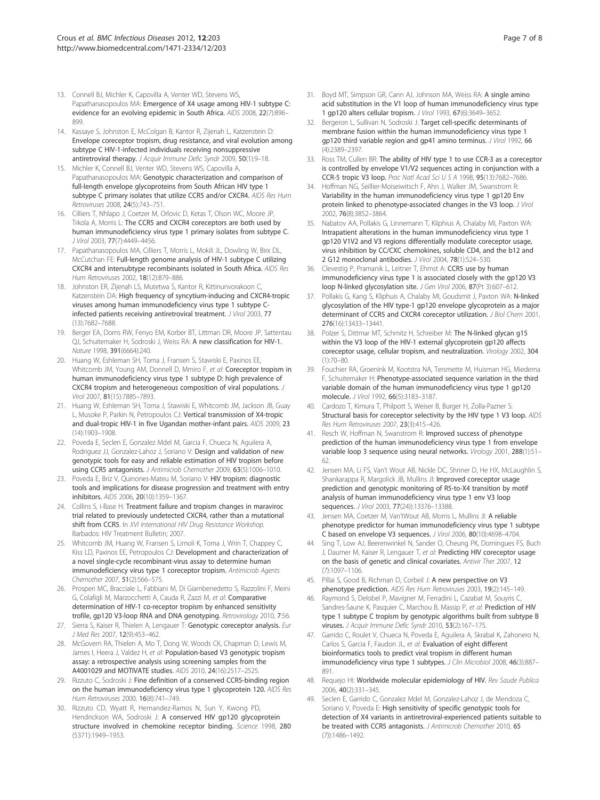- 13. Connell BJ, Michler K, Capovilla A, Venter WD, Stevens WS, Papathanasopoulos MA: Emergence of X4 usage among HIV-1 subtype C: evidence for an evolving epidemic in South Africa. AIDS 2008, 22(7):896-899.
- 14. Kassaye S, Johnston E, McColgan B, Kantor R, Zijenah L, Katzenstein D: Envelope coreceptor tropism, drug resistance, and viral evolution among subtype C HIV-1-infected individuals receiving nonsuppressive antiretroviral therapy. J Acquir Immune Defic Syndr 2009, 50(1):9-18.
- 15. Michler K, Connell BJ, Venter WD, Stevens WS, Capovilla A, Papathanasopoulos MA: Genotypic characterization and comparison of full-length envelope glycoproteins from South African HIV type 1 subtype C primary isolates that utilize CCR5 and/or CXCR4. AIDS Res Hum Retroviruses 2008, 24(5):743–751.
- 16. Cilliers T, Nhlapo J, Coetzer M, Orlovic D, Ketas T, Olson WC, Moore JP, Trkola A, Morris L: The CCR5 and CXCR4 coreceptors are both used by human immunodeficiency virus type 1 primary isolates from subtype C. J Virol 2003, 77(7):4449–4456.
- 17. Papathanasopoulos MA, Cilliers T, Morris L, Mokili JL, Dowling W, Birx DL, McCutchan FE: Full-length genome analysis of HIV-1 subtype C utilizing CXCR4 and intersubtype recombinants isolated in South Africa. AIDS Res Hum Retroviruses 2002, 18(12):879–886.
- 18. Johnston ER, Zijenah LS, Mutetwa S, Kantor R, Kittinunvorakoon C, Katzenstein DA: High frequency of syncytium-inducing and CXCR4-tropic viruses among human immunodeficiency virus type 1 subtype Cinfected patients receiving antiretroviral treatment. J Virol 2003, 77 (13):7682–7688.
- 19. Berger EA, Doms RW, Fenyo EM, Korber BT, Littman DR, Moore JP, Sattentau QJ, Schuitemaker H, Sodroski J, Weiss RA: A new classification for HIV-1. Nature 1998, 391(6664):240.
- 20. Huang W, Eshleman SH, Toma J, Fransen S, Stawiski E, Paxinos EE, Whitcomb JM, Young AM, Donnell D, Mmiro F, et al: Coreceptor tropism in human immunodeficiency virus type 1 subtype D: high prevalence of CXCR4 tropism and heterogeneous composition of viral populations. J Virol 2007, 81(15):7885–7893.
- 21. Huang W, Eshleman SH, Toma J, Stawiski E, Whitcomb JM, Jackson JB, Guay L, Musoke P, Parkin N, Petropoulos CJ: Vertical transmission of X4-tropic and dual-tropic HIV-1 in five Ugandan mother-infant pairs. AIDS 2009, 23 (14):1903–1908.
- 22. Poveda E, Seclen E, Gonzalez Mdel M, Garcia F, Chueca N, Aguilera A, Rodriguez JJ, Gonzalez-Lahoz J, Soriano V: Design and validation of new genotypic tools for easy and reliable estimation of HIV tropism before using CCR5 antagonists. J Antimicrob Chemother 2009, 63(5):1006–1010.
- 23. Poveda E, Briz V, Quinones-Mateu M, Soriano V: HIV tropism: diagnostic tools and implications for disease progression and treatment with entry inhibitors. AIDS 2006, 20(10):1359–1367.
- 24. Collins S, i-Base H: Treatment failure and tropism changes in maraviroc trial related to previously undetected CXCR4, rather than a mutational shift from CCR5. In XVI International HIV Drug Resistance Workshop. Barbados: HIV Treatment Bulletin; 2007.
- 25. Whitcomb JM, Huang W, Fransen S, Limoli K, Toma J, Wrin T, Chappey C, Kiss LD, Paxinos EE, Petropoulos CJ: Development and characterization of a novel single-cycle recombinant-virus assay to determine human immunodeficiency virus type 1 coreceptor tropism. Antimicrob Agents Chemother 2007, 51(2):566–575.
- 26. Prosperi MC, Bracciale L, Fabbiani M, Di Giambenedetto S, Razzolini F, Meini G, Colafigli M, Marzocchetti A, Cauda R, Zazzi M, et al: Comparative determination of HIV-1 co-receptor tropism by enhanced sensitivity trofile, gp120 V3-loop RNA and DNA genotyping. Retrovirology 2010, 7:56.
- 27. Sierra S, Kaiser R, Thielen A, Lengauer T: Genotypic coreceptor analysis. Eur J Med Res 2007, 12(9):453–462.
- 28. McGovern RA, Thielen A, Mo T, Dong W, Woods CK, Chapman D, Lewis M, James I, Heera J, Valdez H, et al: Population-based V3 genotypic tropism assay: a retrospective analysis using screening samples from the A4001029 and MOTIVATE studies. AIDS 2010, 24(16):2517–2525.
- 29. Rizzuto C, Sodroski J: Fine definition of a conserved CCR5-binding region on the human immunodeficiency virus type 1 glycoprotein 120. AIDS Res Hum Retroviruses 2000, 16(8):741–749.
- 30. Rizzuto CD, Wyatt R, Hernandez-Ramos N, Sun Y, Kwong PD, Hendrickson WA, Sodroski J: A conserved HIV gp120 glycoprotein structure involved in chemokine receptor binding. Science 1998, 280 (5371):1949–1953.
- 31. Boyd MT, Simpson GR, Cann AJ, Johnson MA, Weiss RA: A single amino acid substitution in the V1 loop of human immunodeficiency virus type 1 gp120 alters cellular tropism. J Virol 1993, 67(6):3649–3652.
- 32. Bergeron L, Sullivan N, Sodroski J: Target cell-specific determinants of membrane fusion within the human immunodeficiency virus type 1 gp120 third variable region and gp41 amino terminus. J Virol 1992, 66 (4):2389–2397.
- 33. Ross TM, Cullen BR: The ability of HIV type 1 to use CCR-3 as a coreceptor is controlled by envelope V1/V2 sequences acting in conjunction with a CCR-5 tropic V3 loop. Proc Natl Acad Sci U S A 1998, 95(13):7682–7686.
- 34. Hoffman NG, Seillier-Moiseiwitsch F, Ahn J, Walker JM, Swanstrom R: Variability in the human immunodeficiency virus type 1 gp120 Env protein linked to phenotype-associated changes in the V3 loop. J Virol 2002, 76(8):3852–3864.
- 35. Nabatov AA, Pollakis G, Linnemann T, Kliphius A, Chalaby MI, Paxton WA: Intrapatient alterations in the human immunodeficiency virus type 1 gp120 V1V2 and V3 regions differentially modulate coreceptor usage, virus inhibition by CC/CXC chemokines, soluble CD4, and the b12 and 2 G12 monoclonal antibodies. J Virol 2004, 78(1):524–530.
- 36. Clevestig P, Pramanik L, Leitner T, Ehrnst A: CCR5 use by human immunodeficiency virus type 1 is associated closely with the gp120 V3 loop N-linked glycosylation site. J Gen Virol 2006, 87(Pt 3):607-612.
- 37. Pollakis G, Kang S, Kliphuis A, Chalaby MI, Goudsmit J, Paxton WA: N-linked glycosylation of the HIV type-1 gp120 envelope glycoprotein as a major determinant of CCR5 and CXCR4 coreceptor utilization. J Biol Chem 2001, 276(16):13433–13441.
- 38. Polzer S, Dittmar MT, Schmitz H, Schreiber M: The N-linked glycan g15 within the V3 loop of the HIV-1 external glycoprotein gp120 affects coreceptor usage, cellular tropism, and neutralization. Virology 2002, 304 (1):70–80.
- 39. Fouchier RA, Groenink M, Kootstra NA, Tersmette M, Huisman HG, Miedema F, Schuitemaker H: Phenotype-associated sequence variation in the third variable domain of the human immunodeficiency virus type 1 gp120 molecule. J Virol 1992, 66(5):3183–3187.
- 40. Cardozo T, Kimura T, Philpott S, Weiser B, Burger H, Zolla-Pazner S: Structural basis for coreceptor selectivity by the HIV type 1 V3 loop. AIDS Res Hum Retroviruses 2007, 23(3):415–426.
- 41. Resch W, Hoffman N, Swanstrom R: Improved success of phenotype prediction of the human immunodeficiency virus type 1 from envelope variable loop 3 sequence using neural networks. Virology 2001, 288(1):51– 62.
- 42. Jensen MA, Li FS, Van't Wout AB, Nickle DC, Shriner D, He HX, McLaughlin S, Shankarappa R, Margolick JB, Mullins JI: Improved coreceptor usage prediction and genotypic monitoring of R5-to-X4 transition by motif analysis of human immunodeficiency virus type 1 env V3 loop sequences. J Virol 2003, 77(24)):13376–13388.
- 43. Jensen MA, Coetzer M, Van'tWout AB, Morris L, Mullins Jl: A reliable phenotype predictor for human immunodeficiency virus type 1 subtype C based on envelope V3 sequences. J Virol 2006, 80(10):4698–4704.
- 44. Sing T, Low AJ, Beerenwinkel N, Sander O, Cheung PK, Domingues FS, Buch J, Daumer M, Kaiser R, Lengauer T, et al: Predicting HIV coreceptor usage on the basis of genetic and clinical covariates. Antivir Ther 2007, 12 (7):1097–1106.
- 45. Pillai S, Good B, Richman D, Corbeil J: A new perspective on V3 phenotype prediction. AIDS Res Hum Retroviruses 2003, 19(2):145–149.
- 46. Raymond S, Delobel P, Mavigner M, Ferradini L, Cazabat M, Souyris C, Sandres-Saune K, Pasquier C, Marchou B, Massip P, et al: Prediction of HIV type 1 subtype C tropism by genotypic algorithms built from subtype B viruses. J Acquir Immune Defic Syndr 2010, 53(2):167-175.
- 47. Garrido C, Roulet V, Chueca N, Poveda E, Aguilera A, Skrabal K, Zahonero N, Carlos S, Garcia F, Faudon JL, et al: Evaluation of eight different bioinformatics tools to predict viral tropism in different human immunodeficiency virus type 1 subtypes. J Clin Microbiol 2008, 46(3):887-891.
- 48. Requejo HI: Worldwide molecular epidemiology of HIV. Rev Saude Publica 2006, 40(2):331–345.
- 49. Seclen E, Garrido C, Gonzalez Mdel M, Gonzalez-Lahoz J, de Mendoza C, Soriano V, Poveda E: High sensitivity of specific genotypic tools for detection of X4 variants in antiretroviral-experienced patients suitable to be treated with CCR5 antagonists. J Antimicrob Chemother 2010, 65 (7)):1486–1492.